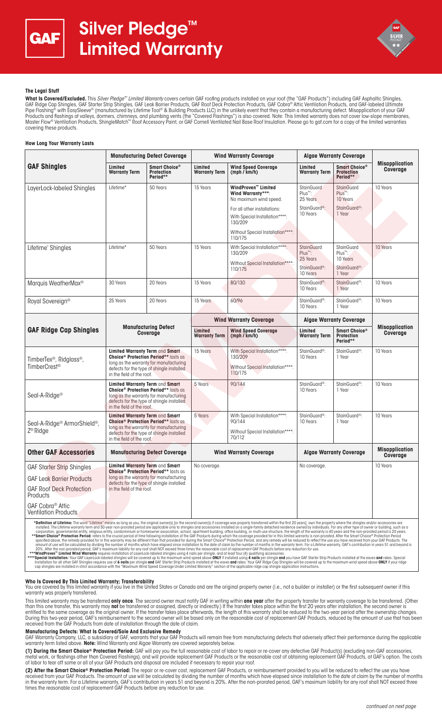



## **The Legal Stuff**

**What Is Covered/Excluded.** This *Silver Pledge™ Limited Warranty* covers certain GAF roofing products installed on your roof (the "GAF Products") including GAF Asphaltic Shingles, GAF Ridge Cap Shingles, GAF Starter Strip Shingles, GAF Leak Barrier Products, GAF Roof Deck Protection Products, GAF Cobra® Attic Ventilation Products, and GAF-labeled Ultimate Pipe Flashing® with EasySleeve® (manufactured by Lifetime Tool® & Building Products LLC) in the unlikely event that they contain a manufacturing defect. Misapplication of your GAF Products and flashings at valleys, dormers, chimneys, and plumbing vents (the "Covered Flashings") is also covered. Note: This limited warranty does not cover low-slope membranes,<br>Master Flow® Ventilation Products, Shingl covering these products.

### **How Long Your Warranty Lasts**

| <b>GAF Shingles</b>                                                                                                                                                                                                                                                                                                                                                                                                                                                                                                                                                                                                                                                                                | <b>Manufacturing Defect Coverage</b>                                                                                                                                                                          |                                                            | <b>Wind Warranty Coverage</b>   |                                                                                                                                                                                                                                                                                                                                                                                                                                                                  | <b>Algae Warranty Coverage</b>                |                                                |                                          |
|----------------------------------------------------------------------------------------------------------------------------------------------------------------------------------------------------------------------------------------------------------------------------------------------------------------------------------------------------------------------------------------------------------------------------------------------------------------------------------------------------------------------------------------------------------------------------------------------------------------------------------------------------------------------------------------------------|---------------------------------------------------------------------------------------------------------------------------------------------------------------------------------------------------------------|------------------------------------------------------------|---------------------------------|------------------------------------------------------------------------------------------------------------------------------------------------------------------------------------------------------------------------------------------------------------------------------------------------------------------------------------------------------------------------------------------------------------------------------------------------------------------|-----------------------------------------------|------------------------------------------------|------------------------------------------|
|                                                                                                                                                                                                                                                                                                                                                                                                                                                                                                                                                                                                                                                                                                    | Limited<br><b>Warranty Term</b>                                                                                                                                                                               | Smart Choice <sup>®</sup><br><b>Protection</b><br>Period** | Limited<br><b>Warranty Term</b> | <b>Wind Speed Coverage</b><br>(mph / km/h)                                                                                                                                                                                                                                                                                                                                                                                                                       | Limited<br><b>Warranty Term</b>               | Smart Choice®<br><b>Protection</b><br>Period** | <b>Misapplication</b><br><b>Coverage</b> |
| LayerLock-labeled Shingles                                                                                                                                                                                                                                                                                                                                                                                                                                                                                                                                                                                                                                                                         | Lifetime*                                                                                                                                                                                                     | 50 Years                                                   | 15 Years                        | WindProven™ Limited<br>Wind Warranty***:<br>No maximum wind speed.                                                                                                                                                                                                                                                                                                                                                                                               | StainGuard<br>$Plus^m$ :<br>25 Years          | <b>StainGuard</b><br>$Plus^m$ :<br>10 Years    | 10 Years                                 |
|                                                                                                                                                                                                                                                                                                                                                                                                                                                                                                                                                                                                                                                                                                    |                                                                                                                                                                                                               |                                                            |                                 | For all other installations:<br>With Special Installation****:<br>130/209                                                                                                                                                                                                                                                                                                                                                                                        | StainGuard <sup>®</sup> :<br>10 Years         | StainGuard <sup>®</sup> :<br>1 Year            |                                          |
|                                                                                                                                                                                                                                                                                                                                                                                                                                                                                                                                                                                                                                                                                                    |                                                                                                                                                                                                               |                                                            |                                 | Without Special Installation****:<br>110/175                                                                                                                                                                                                                                                                                                                                                                                                                     |                                               |                                                |                                          |
| Lifetime* Shingles                                                                                                                                                                                                                                                                                                                                                                                                                                                                                                                                                                                                                                                                                 | Lifetime*                                                                                                                                                                                                     | 50 Years                                                   | 15 Years                        | With Special Installation****:<br>130/209<br>Without Special Installation****:                                                                                                                                                                                                                                                                                                                                                                                   | StainGuard<br>Plus <sup>™</sup> :<br>25 Years | StainGuard<br>Plus™:<br>10 Years               | 10 Years                                 |
|                                                                                                                                                                                                                                                                                                                                                                                                                                                                                                                                                                                                                                                                                                    |                                                                                                                                                                                                               |                                                            |                                 | 110/175                                                                                                                                                                                                                                                                                                                                                                                                                                                          | StainGuard <sup>®</sup> :<br>10 Years         | StainGuard <sup>®</sup> :<br>1 Year            |                                          |
| Marquis WeatherMax <sup>®</sup>                                                                                                                                                                                                                                                                                                                                                                                                                                                                                                                                                                                                                                                                    | 30 Years                                                                                                                                                                                                      | 20 Years                                                   | 15 Years                        | 80/130                                                                                                                                                                                                                                                                                                                                                                                                                                                           | StainGuard <sup>®</sup> :<br>10 Years         | StainGuard <sup>®</sup> :<br>1 Year            | 10 Years                                 |
| Royal Sovereign <sup>®</sup>                                                                                                                                                                                                                                                                                                                                                                                                                                                                                                                                                                                                                                                                       | 25 Years                                                                                                                                                                                                      | 20 Years                                                   | 15 Years                        | 60/96                                                                                                                                                                                                                                                                                                                                                                                                                                                            | StainGuard <sup>®</sup> :<br>10 Years         | StainGuard <sup>®</sup> :<br>1 Year            | 10 Years                                 |
|                                                                                                                                                                                                                                                                                                                                                                                                                                                                                                                                                                                                                                                                                                    | <b>Manufacturing Defect</b><br>Coverage                                                                                                                                                                       |                                                            | <b>Wind Warranty Coverage</b>   |                                                                                                                                                                                                                                                                                                                                                                                                                                                                  | <b>Algae Warranty Coverage</b>                |                                                |                                          |
| <b>GAF Ridge Cap Shingles</b>                                                                                                                                                                                                                                                                                                                                                                                                                                                                                                                                                                                                                                                                      |                                                                                                                                                                                                               |                                                            | Limited<br><b>Warranty Term</b> | <b>Wind Speed Coverage</b><br>(mph / km/h)                                                                                                                                                                                                                                                                                                                                                                                                                       | Limited<br><b>Warranty Term</b>               | Smart Choice®<br><b>Protection</b><br>Period** | <b>Misapplication</b><br>Coverage        |
| TimberTex®, Ridglass®,<br>TimberCrest <sup>®</sup>                                                                                                                                                                                                                                                                                                                                                                                                                                                                                                                                                                                                                                                 | Limited Warranty Term and Smart<br>Choice <sup>®</sup> Protection Period** lasts as<br>long as the warranty for manufacturing<br>defects for the type of shingle installed<br>in the field of the roof.       |                                                            | 15 Years                        | With Special Installation****:<br>130/209<br>Without Special Installation****:<br>110/175                                                                                                                                                                                                                                                                                                                                                                        | StainGuard <sup>®</sup> :<br>10 Years         | StainGuard <sup>®</sup> :<br>1 Year            | 10 Years                                 |
| Seal-A-Ridge <sup>®</sup>                                                                                                                                                                                                                                                                                                                                                                                                                                                                                                                                                                                                                                                                          | Limited Warranty Term and Smart<br><b>Choice<sup>®</sup> Protection Period**</b> lasts as<br>long as the warranty for manufacturing<br>defects for the type of shingle installed<br>in the field of the roof. |                                                            | 5 Years                         | 90/144                                                                                                                                                                                                                                                                                                                                                                                                                                                           | StainGuard <sup>®</sup> :<br>10 Years         | StainGuard <sup>®</sup> :<br>1 Year            | 10 Years                                 |
| Seal-A-Ridge <sup>®</sup> ArmorShield <sup>®</sup> ,                                                                                                                                                                                                                                                                                                                                                                                                                                                                                                                                                                                                                                               | Limited Warranty Term and Smart<br>Choice <sup>®</sup> Protection Period** lasts as<br>long as the warranty for manufacturing<br>defects for the type of shingle installed<br>in the field of the roof.       |                                                            | 5 Years                         | With Special Installation****:<br>90/144                                                                                                                                                                                                                                                                                                                                                                                                                         | StainGuard <sup>®</sup> :<br>10 Years         | StainGuard <sup>®</sup> :<br>1 Year            | 10 Years                                 |
| Z <sup>®</sup> Ridge                                                                                                                                                                                                                                                                                                                                                                                                                                                                                                                                                                                                                                                                               |                                                                                                                                                                                                               |                                                            |                                 | Without Special Installation****:<br>70/112                                                                                                                                                                                                                                                                                                                                                                                                                      |                                               |                                                |                                          |
| <b>Other GAF Accessories</b>                                                                                                                                                                                                                                                                                                                                                                                                                                                                                                                                                                                                                                                                       | <b>Manufacturing Defect Coverage</b>                                                                                                                                                                          |                                                            | <b>Wind Warranty Coverage</b>   |                                                                                                                                                                                                                                                                                                                                                                                                                                                                  | <b>Algae Warranty Coverage</b>                |                                                | <b>Misapplication</b><br>Coverage        |
| <b>GAF Starter Strip Shingles</b>                                                                                                                                                                                                                                                                                                                                                                                                                                                                                                                                                                                                                                                                  | Limited Warranty Term and Smart<br><b>Choice<sup>®</sup> Protection Period**</b> lasts as<br>long as the warranty for manufacturing<br>defects for the type of shingle installed<br>in the field of the roof. |                                                            | No coverage.                    |                                                                                                                                                                                                                                                                                                                                                                                                                                                                  | No coverage.                                  |                                                | 10 Years                                 |
| <b>GAF Leak Barrier Products</b>                                                                                                                                                                                                                                                                                                                                                                                                                                                                                                                                                                                                                                                                   |                                                                                                                                                                                                               |                                                            |                                 |                                                                                                                                                                                                                                                                                                                                                                                                                                                                  |                                               |                                                |                                          |
| <b>GAF Roof Deck Protection</b><br>Products                                                                                                                                                                                                                                                                                                                                                                                                                                                                                                                                                                                                                                                        |                                                                                                                                                                                                               |                                                            |                                 |                                                                                                                                                                                                                                                                                                                                                                                                                                                                  |                                               |                                                |                                          |
| GAF Cobra <sup>®</sup> Attic<br><b>Ventilation Products</b>                                                                                                                                                                                                                                                                                                                                                                                                                                                                                                                                                                                                                                        |                                                                                                                                                                                                               |                                                            |                                 |                                                                                                                                                                                                                                                                                                                                                                                                                                                                  |                                               |                                                |                                          |
| *Definition of Lifetime: The word "Lifetime" means as long as you, the original owner(s) [or the second owner(s) if coverage was properly transferred within the first 20 years], own the property where the shingles and/or a<br>**Smart Choice® Protection Period: refers to the crucial period of time following installation of the GAF Products during which the coverage provided for in this limited warranty is non-prorated. After the Smart Choice® Pr<br>specified above. the remedy provided for in this warranty may be different than that provided for during the Smart Choice® Protection Period, and any remedy will be reduced to reflect the use you have received from your GA |                                                                                                                                                                                                               |                                                            |                                 | installed. The Lifetime warranty term and 50-year non-prorated period are applicable only to shingles and accessories installed on a single-family detached residence owned by individuals. For any other type of owner or bui<br>corporation, governmental entity, religious entity, condominium or homeowner association, school, apartment building, office building, or multi-use structure, the length of the warranty is 40 years and the non-prorated per |                                               |                                                |                                          |

mount of use will be calculated by dividing the number of months which have elapsed since installation to the date of claim by the number of months in the warranty term. For a Lifetime warranty, GAF's contribution in years

### **Who Is Covered By This Limited Warranty; Transferability**

You are covered by this limited warranty if you live in the United States or Canada and are the original property owner (i.e., not a builder or installer) or the first subsequent owner if this warranty was properly transferred.

This limited warranty may be transferred **only once**. The second owner must notify GAF in writing within **one year** after the property transfer for warranty coverage to be transferred. (Other than this one transfer, this warranty may **not** be transferred or assigned, directly or indirectly.) If the transfer takes place within the first 20 years after installation, the second owner is entitled to the same coverage as the original owner. If the transfer takes place afterwards, the length of this warranty shall be reduced to the two-year period after the ownership changes. During this two-year period, GAF's reimbursement to the second owner will be based only on the reasonable cost of replacement GAF Products, reduced by the amount of use that has been received from the GAF Products from date of installation through the date of claim.

## **Manufacturing Defects: What Is Covered/Sole And Exclusive Remedy**

GAF Warranty Company, LLC, a subsidiary of GAF, warrants that your GAF Products will remain free from manufacturing defects that adversely affect their performance during the applicable<br>warranty term listed above. **Note:**

**(1) During the Smart Choice® Protection Period:** GAF will pay you the full reasonable cost of labor to repair or re-cover any defective GAF Product(s) (excluding non-GAF accessories, metal work, or flashings other than Covered Flashings), and will provide replacement GAF Products or the reasonable cost of obtaining replacement GAF Products, at GAF's option. The costs of labor to tear off some or all of your GAF Products and disposal are included if necessary to repair your roof.

**(2) After the Smart Choice® Protection Period:** The repair or re-cover cost, replacement GAF Products, or reimbursement provided to you will be reduced to reflect the use you have received from your GAF Products. The amount of use will be calculated by dividing the number of months which have elapsed since installation to the date of claim by the number of months in the warranty term. For a Lifetime warranty, GAF's contribution in years 51 and beyond is 20%. After the non-prorated period, GAF's maximum liability for any roof shall NOT exceed three times the reasonable cost of replacement GAF Products before any reduction for use.